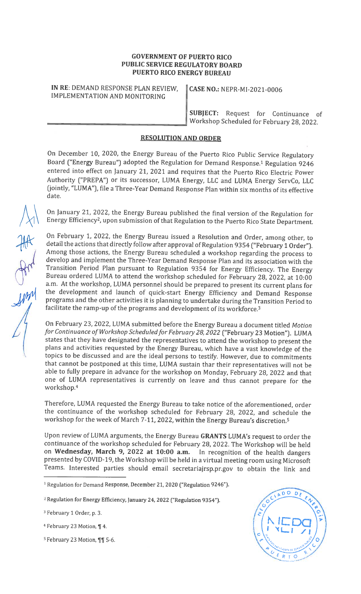## GOVERNMENT OF PUERTO RICO PUBLIC SERVICE REGULATORY BOARD PUERTO RICO ENERGY BUREAU

IN RE: DEMAND RESPONSE PLAN REVIEW, || CASE NO.: NEPR-MI-2021-0006 IMPLEMENTATION AND MONITORING

SUBJECT: Request for Continuance of Workshop Scheduled for February 28, 2022.

## RESOLUTION AND ORDER

On December 10, 2020, the Energy Bureau of the Puerto Rico Public Service Regulatory Board ("Energy Bureau") adopted the Regulation for Demand Response.<sup>1</sup> Regulation 9246 entered into effect on January 21, <sup>2021</sup> and requires that the Puerto Rico Electric Power Authority ("PREPA") or its successor, LUMA Energy, LLC and LUMA Energy ServCo, LLC (jointly, "LUMA"), file <sup>a</sup> Three-Year Demand Response Plan within six months of its effective date.

On January 21, 2022, the Energy Bureau published the final version of the Regulation for Energy Efficiency2, upon submission of that Regulation to the Puerto Rico State Department.

On February 1, 2022, the Energy Bureau issued <sup>a</sup> Resolution and Order, among other, to detail the actions that directly follow after approval of Regulation <sup>9354</sup> ("February <sup>1</sup> Order"). Among those actions, the Energy Bureau scheduled <sup>a</sup> workshop regarding the process to develop and implement the Three-Year Demand Response Plan and its association with the Transition Period Plan pursuant to Regulation <sup>9354</sup> for Energy Efficiency. The Energy Bureau ordered LUMA to attend the workshop scheduled for February 28, 2022, at 10:00 a.m. At the workshop, LUMA personnel should be prepared to present its current <sup>p</sup>lans for programs and the other activities it is planning to undertake during the Transition Period to

facilitate the ramp-up of the programs and development of its workforce.<sup>3</sup><br>On February 23, 2022, LUMA submitted before the Energy Bureau a docur<br>for Continuance of Workshop Scheduled for February 28, 2022 ("February 2<br>sta On February 23, 2022, LUMA submitted before the Energy Bureau <sup>a</sup> document titled Motion for Continuance of Workshop Scheduled for February 28, 2022 ("February 23 Motion"). LUMA states that they have designated the representatives to attend the workshop to present the <sup>p</sup>lans and activities requested by the Energy Bureau, which have <sup>a</sup> vast knowledge of the topics to be discussed and are the ideal persons to testify. However, due to commitments that cannot be postponed at this time, LUMA sustain thar their representatives will not be able to fully prepare in advance for the workshop on Monday, February 28, <sup>2022</sup> and that one of LUMA representatives is currently on leave and thus cannot prepare for the workshop.4

> Therefore, LUMA requested the Energy Bureau to take notice of the aforementioned, order the continuance of the workshop scheduled for February 28, 2022, and schedule the workshop for the week of March 7-11, 2022, within the Energy Bureau's discretion.5

> Upon review of LUMA arguments, the Energy Bureau GRANTS LUMA's request to order the continuance of the workshop scheduled for February 28, 2022. The Workshop will be held on Wednesday, March 9, <sup>2022</sup> at 10:00 a.m. In recognition of the health dangers presented by COVID-19, the Workshop will be held in <sup>a</sup> virtual meeting room using Microsoft Teams. Interested parties should email secretariajrsp.pr.gov to obtain the link and

 $5$  February 23 Motion, ¶¶ 5-6.



<sup>&</sup>lt;sup>1</sup> Regulation for Demand Response, December 21, 2020 ("Regulation 9246").

<sup>&</sup>lt;sup>2</sup> Regulation for Energy Efficiency, January 24, 2022 ("Regulation 9354").

<sup>&</sup>lt;sup>3</sup> February 1 Order, p. 3.

<sup>&</sup>lt;sup>4</sup> February 23 Motion, ¶ 4.